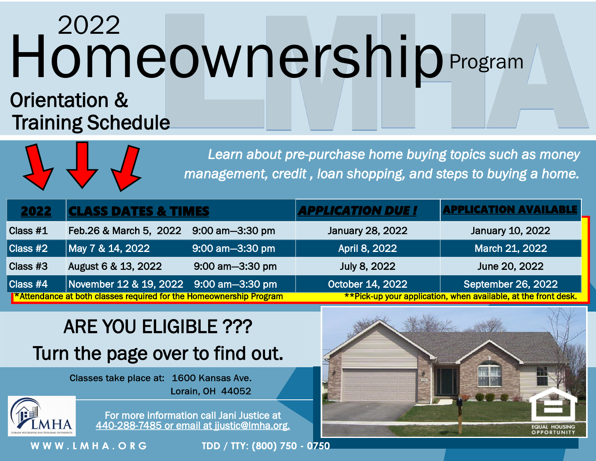## Homeownership 2022 Program

#### Orientation & Training Schedule



*Learn about pre-purchase home buying topics such as money management, credit , loan shopping, and steps to buying a home.* 

| 2022     | <b>CLASS DATES &amp; TIMES</b>                                             |                 | <b>APPLICATION DUE !</b>                                       | <b>APPLICATION AVAILABLE</b> |
|----------|----------------------------------------------------------------------------|-----------------|----------------------------------------------------------------|------------------------------|
| Class #1 | Feb.26 & March 5, 2022                                                     | 9:00 am-3:30 pm | January 28, 2022                                               | January 10, 2022             |
| Class #2 | May 7 & 14, 2022                                                           | 9:00 am-3:30 pm | April 8, 2022                                                  | March 21, 2022               |
| Class #3 | August 6 & 13, 2022                                                        | 9:00 am-3:30 pm | July 8, 2022                                                   | June 20, 2022                |
| Class #4 | November 12 & 19, 2022                                                     | 9:00 am-3:30 pm | October 14, 2022                                               | September 26, 2022           |
|          | <b>T*Attendance at both classes required for the Homeownership Program</b> |                 | **Pick-up your application, when available, at the front desk. |                              |

#### ARE YOU ELIGIBLE ??? Turn the page over to find out.

Classes take place at: 1600 Kansas Ave. Lorain, OH 44052



For more information call Jani Justice at 440-288-7485 or email at ijustic@lmha.org.

WWW.LMHA.ORG

TDD / TTY: (800) 750 - 0750